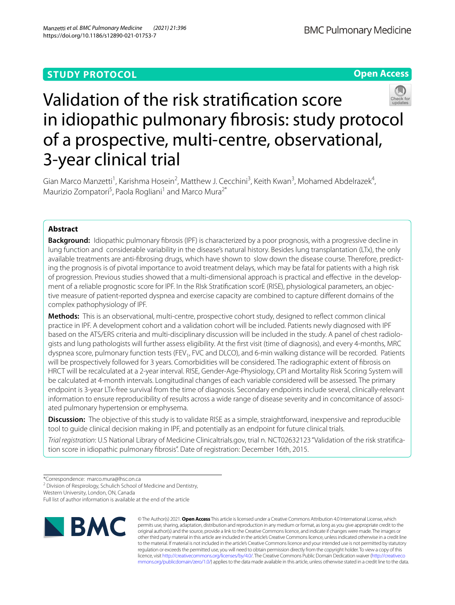## **STUDY PROTOCOL**

**Open Access**



# Validation of the risk stratifcation score in idiopathic pulmonary fbrosis: study protocol of a prospective, multi-centre, observational, 3-year clinical trial

Gian Marco Manzetti<sup>1</sup>, Karishma Hosein<sup>2</sup>, Matthew J. Cecchini<sup>3</sup>, Keith Kwan<sup>3</sup>, Mohamed Abdelrazek<sup>4</sup>, Maurizio Zompatori<sup>5</sup>, Paola Rogliani<sup>1</sup> and Marco Mura<sup>2\*</sup>

## **Abstract**

**Background:** Idiopathic pulmonary fibrosis (IPF) is characterized by a poor prognosis, with a progressive decline in lung function and considerable variability in the disease's natural history. Besides lung transplantation (LTx), the only available treatments are anti-fbrosing drugs, which have shown to slow down the disease course. Therefore, predicting the prognosis is of pivotal importance to avoid treatment delays, which may be fatal for patients with a high risk of progression. Previous studies showed that a multi-dimensional approach is practical and efective in the development of a reliable prognostic score for IPF. In the RIsk Stratifcation scorE (RISE), physiological parameters, an objective measure of patient-reported dyspnea and exercise capacity are combined to capture diferent domains of the complex pathophysiology of IPF.

**Methods:** This is an observational, multi-centre, prospective cohort study, designed to refect common clinical practice in IPF. A development cohort and a validation cohort will be included. Patients newly diagnosed with IPF based on the ATS/ERS criteria and multi-disciplinary discussion will be included in the study. A panel of chest radiologists and lung pathologists will further assess eligibility. At the frst visit (time of diagnosis), and every 4-months, MRC dyspnea score, pulmonary function tests (FEV<sub>1</sub>, FVC and DLCO), and 6-min walking distance will be recorded. Patients will be prospectively followed for 3 years. Comorbidities will be considered. The radiographic extent of fbrosis on HRCT will be recalculated at a 2-year interval. RISE, Gender-Age-Physiology, CPI and Mortality Risk Scoring System will be calculated at 4-month intervals. Longitudinal changes of each variable considered will be assessed. The primary endpoint is 3-year LTx-free survival from the time of diagnosis. Secondary endpoints include several, clinically-relevant information to ensure reproducibility of results across a wide range of disease severity and in concomitance of associated pulmonary hypertension or emphysema.

**Discussion:** The objective of this study is to validate RISE as a simple, straightforward, inexpensive and reproducible tool to guide clinical decision making in IPF, and potentially as an endpoint for future clinical trials.

*Trial registration*: U.S National Library of Medicine Clinicaltrials.gov, trial n. NCT02632123 "Validation of the risk stratifcation score in idiopathic pulmonary fbrosis". Date of registration: December 16th, 2015.

<sup>2</sup> Division of Respirology, Schulich School of Medicine and Dentistry,

Western University, London, ON, Canada

Full list of author information is available at the end of the article



© The Author(s) 2021. **Open Access** This article is licensed under a Creative Commons Attribution 4.0 International License, which permits use, sharing, adaptation, distribution and reproduction in any medium or format, as long as you give appropriate credit to the original author(s) and the source, provide a link to the Creative Commons licence, and indicate if changes were made. The images or other third party material in this article are included in the article's Creative Commons licence, unless indicated otherwise in a credit line to the material. If material is not included in the article's Creative Commons licence and your intended use is not permitted by statutory regulation or exceeds the permitted use, you will need to obtain permission directly from the copyright holder. To view a copy of this licence, visit [http://creativecommons.org/licenses/by/4.0/.](http://creativecommons.org/licenses/by/4.0/) The Creative Commons Public Domain Dedication waiver ([http://creativeco](http://creativecommons.org/publicdomain/zero/1.0/) [mmons.org/publicdomain/zero/1.0/](http://creativecommons.org/publicdomain/zero/1.0/)) applies to the data made available in this article, unless otherwise stated in a credit line to the data.

<sup>\*</sup>Correspondence: marco.mura@lhsc.on.ca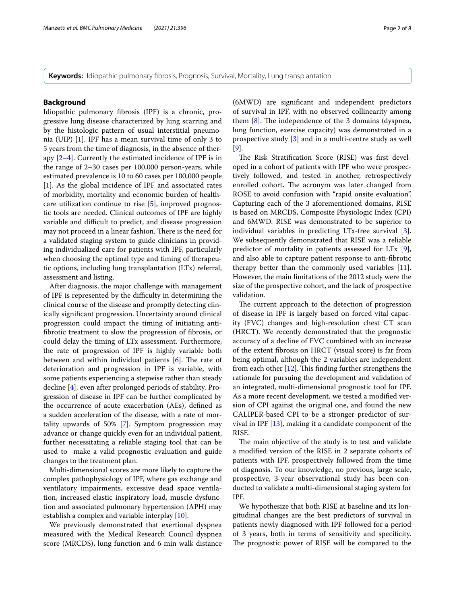**Keywords:** Idiopathic pulmonary fibrosis, Prognosis, Survival, Mortality, Lung transplantation

## **Background**

Idiopathic pulmonary fbrosis (IPF) is a chronic, progressive lung disease characterized by lung scarring and by the histologic pattern of usual interstitial pneumonia (UIP) [[1\]](#page-6-0). IPF has a mean survival time of only 3 to 5 years from the time of diagnosis, in the absence of therapy [\[2–](#page-6-1)[4\]](#page-6-2). Currently the estimated incidence of IPF is in the range of 2–30 cases per 100,000 person-years, while estimated prevalence is 10 to 60 cases per 100,000 people [[1\]](#page-6-0). As the global incidence of IPF and associated rates of morbidity, mortality and economic burden of healthcare utilization continue to rise [\[5](#page-6-3)], improved prognostic tools are needed. Clinical outcomes of IPF are highly variable and difficult to predict, and disease progression may not proceed in a linear fashion. There is the need for a validated staging system to guide clinicians in providing individualized care for patients with IPF, particularly when choosing the optimal type and timing of therapeutic options, including lung transplantation (LTx) referral, assessment and listing.

After diagnosis, the major challenge with management of IPF is represented by the difficulty in determining the clinical course of the disease and promptly detecting clinically signifcant progression. Uncertainty around clinical progression could impact the timing of initiating antifbrotic treatment to slow the progression of fbrosis, or could delay the timing of LTx assessment. Furthermore, the rate of progression of IPF is highly variable both between and within individual patients  $[6]$  $[6]$ . The rate of deterioration and progression in IPF is variable, with some patients experiencing a stepwise rather than steady decline [[4\]](#page-6-2), even after prolonged periods of stability. Progression of disease in IPF can be further complicated by the occurrence of acute exacerbation (AEs), defned as a sudden acceleration of the disease, with a rate of mortality upwards of 50% [\[7](#page-6-5)]. Symptom progression may advance or change quickly even for an individual patient, further necessitating a reliable staging tool that can be used to make a valid prognostic evaluation and guide changes to the treatment plan.

Multi-dimensional scores are more likely to capture the complex pathophysiology of IPF, where gas exchange and ventilatory impairments, excessive dead space ventilation, increased elastic inspiratory load, muscle dysfunction and associated pulmonary hypertension (APH) may establish a complex and variable interplay [[10\]](#page-6-6).

We previously demonstrated that exertional dyspnea measured with the Medical Research Council dyspnea score (MRCDS), lung function and 6-min walk distance (6MWD) are signifcant and independent predictors of survival in IPF, with no observed collinearity among them  $[8]$  $[8]$  $[8]$ . The independence of the 3 domains (dyspnea, lung function, exercise capacity) was demonstrated in a prospective study [\[3](#page-6-8)] and in a multi-centre study as well [[9\]](#page-6-9).

The Risk Stratification Score (RISE) was first developed in a cohort of patients with IPF who were prospectively followed, and tested in another, retrospectively enrolled cohort. The acronym was later changed from ROSE to avoid confusion with "rapid onsite evaluation". Capturing each of the 3 aforementioned domains, RISE is based on MRCDS, Composite Physiologic Index (CPI) and 6MWD. RISE was demonstrated to be superior to individual variables in predicting LTx-free survival [\[3](#page-6-8)]. We subsequently demonstrated that RISE was a reliable predictor of mortality in patients assessed for LTx [\[9](#page-6-9)], and also able to capture patient response to anti-fbrotic therapy better than the commonly used variables [\[11](#page-6-10)]. However, the main limitations of the 2012 study were the size of the prospective cohort, and the lack of prospective validation.

The current approach to the detection of progression of disease in IPF is largely based on forced vital capacity (FVC) changes and high-resolution chest CT scan (HRCT). We recently demonstrated that the prognostic accuracy of a decline of FVC combined with an increase of the extent fbrosis on HRCT (visual score) is far from being optimal, although the 2 variables are independent from each other  $[12]$  $[12]$  $[12]$ . This finding further strengthens the rationale for pursuing the development and validation of an integrated, multi-dimensional prognostic tool for IPF. As a more recent development, we tested a modifed version of CPI against the original one, and found the new CALIPER-based CPI to be a stronger predictor of survival in IPF [[13\]](#page-6-12), making it a candidate component of the RISE.

The main objective of the study is to test and validate a modifed version of the RISE in 2 separate cohorts of patients with IPF, prospectively followed from the time of diagnosis. To our knowledge, no previous, large scale, prospective, 3-year observational study has been conducted to validate a multi-dimensional staging system for IPF.

We hypothesize that both RISE at baseline and its longitudinal changes are the best predictors of survival in patients newly diagnosed with IPF followed for a period of 3 years, both in terms of sensitivity and specifcity. The prognostic power of RISE will be compared to the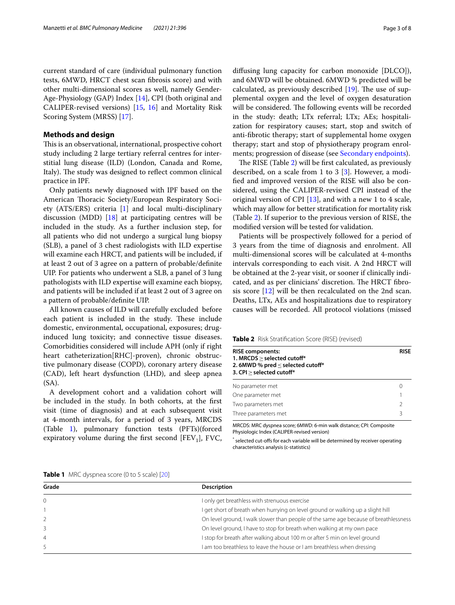current standard of care (individual pulmonary function tests, 6MWD, HRCT chest scan fbrosis score) and with other multi-dimensional scores as well, namely Gender-Age-Physiology (GAP) Index [\[14](#page-6-13)], CPI (both original and CALIPER-revised versions) [[15,](#page-6-14) [16\]](#page-6-15) and Mortality Risk Scoring System (MRSS) [[17\]](#page-6-16).

## **Methods and design**

This is an observational, international, prospective cohort study including 2 large tertiary referral centres for interstitial lung disease (ILD) (London, Canada and Rome, Italy). The study was designed to reflect common clinical practice in IPF.

Only patients newly diagnosed with IPF based on the American Thoracic Society/European Respiratory Society (ATS/ERS) criteria [\[1](#page-6-0)] and local multi-disciplinary discussion (MDD)  $[18]$  $[18]$  at participating centres will be included in the study. As a further inclusion step, for all patients who did not undergo a surgical lung biopsy (SLB), a panel of 3 chest radiologists with ILD expertise will examine each HRCT, and patients will be included, if at least 2 out of 3 agree on a pattern of probable/defnite UIP. For patients who underwent a SLB, a panel of 3 lung pathologists with ILD expertise will examine each biopsy, and patients will be included if at least 2 out of 3 agree on a pattern of probable/defnite UIP.

All known causes of ILD will carefully excluded before each patient is included in the study. These include domestic, environmental, occupational, exposures; druginduced lung toxicity; and connective tissue diseases. Comorbidities considered will include APH (only if right heart catheterization[RHC]-proven), chronic obstructive pulmonary disease (COPD), coronary artery disease (CAD), left heart dysfunction (LHD), and sleep apnea (SA).

A development cohort and a validation cohort will be included in the study. In both cohorts, at the frst visit (time of diagnosis) and at each subsequent visit at 4-month intervals, for a period of 3 years, MRCDS (Table [1\)](#page-2-0), pulmonary function tests (PFTs)(forced expiratory volume during the first second  $[FEV<sub>1</sub>]$ , FVC, difusing lung capacity for carbon monoxide [DLCO]), and 6MWD will be obtained. 6MWD % predicted will be calculated, as previously described  $[19]$ . The use of supplemental oxygen and the level of oxygen desaturation will be considered. The following events will be recorded in the study: death; LTx referral; LTx; AEs; hospitalization for respiratory causes; start, stop and switch of anti-fbrotic therapy; start of supplemental home oxygen therapy; start and stop of physiotherapy program enrolments; progression of disease (see [Secondary endpoints\)](#page-3-0).

The RISE (Table [2\)](#page-2-1) will be first calculated, as previously described, on a scale from 1 to 3 [\[3](#page-6-8)]. However, a modifed and improved version of the RISE will also be considered, using the CALIPER-revised CPI instead of the original version of CPI  $[13]$  $[13]$ , and with a new 1 to 4 scale, which may allow for better stratifcation for mortality risk (Table [2\)](#page-2-1). If superior to the previous version of RISE, the modifed version will be tested for validation.

Patients will be prospectively followed for a period of 3 years from the time of diagnosis and enrolment. All multi-dimensional scores will be calculated at 4-months intervals corresponding to each visit. A 2nd HRCT will be obtained at the 2-year visit, or sooner if clinically indicated, and as per clinicians' discretion. The HRCT fibrosis score [\[12](#page-6-11)] will be then recalculated on the 2nd scan. Deaths, LTx, AEs and hospitalizations due to respiratory causes will be recorded. All protocol violations (missed

<span id="page-2-1"></span>**Table 2** Risk Stratifcation Score (RISE) (revised)

| <b>RISE components:</b><br>1. MRCDS > selected cutoff*<br>2.6MWD % pred $\le$ selected cutoff*<br>3. CPI > selected cutoff* |               |
|-----------------------------------------------------------------------------------------------------------------------------|---------------|
| No parameter met                                                                                                            | 0             |
| One parameter met                                                                                                           |               |
| Two parameters met                                                                                                          | $\mathcal{P}$ |
| Three parameters met                                                                                                        | ζ             |

MRCDS: MRC dyspnea score; 6MWD: 6-min walk distance; CPI: Composite Physiologic Index (CALIPER-revised version)

\* selected cut-ofs for each variable will be determined by receiver operating characteristics analysis (c-statistics)

<span id="page-2-0"></span>**Table 1** MRC dyspnea score (0 to 5 scale) [[20\]](#page-7-2)

| Grade         | <b>Description</b>                                                                   |
|---------------|--------------------------------------------------------------------------------------|
| $\mathbf{0}$  | I only get breathless with strenuous exercise                                        |
|               | I get short of breath when hurrying on level ground or walking up a slight hill      |
| $\mathcal{L}$ | On level ground, I walk slower than people of the same age because of breathlessness |
| 3             | On level ground, I have to stop for breath when walking at my own pace               |
| 4             | I stop for breath after walking about 100 m or after 5 min on level ground           |
|               | I am too breathless to leave the house or I am breathless when dressing              |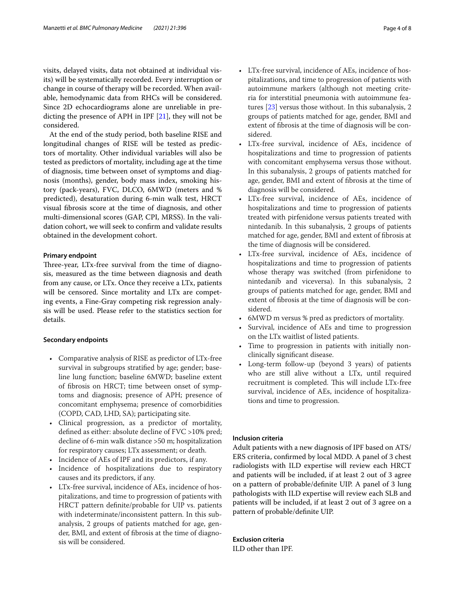visits, delayed visits, data not obtained at individual visits) will be systematically recorded. Every interruption or change in course of therapy will be recorded. When available, hemodynamic data from RHCs will be considered. Since 2D echocardiograms alone are unreliable in predicting the presence of APH in IPF [[21\]](#page-7-3), they will not be considered.

At the end of the study period, both baseline RISE and longitudinal changes of RISE will be tested as predictors of mortality. Other individual variables will also be tested as predictors of mortality, including age at the time of diagnosis, time between onset of symptoms and diagnosis (months), gender, body mass index, smoking history (pack-years), FVC, DLCO, 6MWD (meters and % predicted), desaturation during 6-min walk test, HRCT visual fbrosis score at the time of diagnosis, and other multi-dimensional scores (GAP, CPI, MRSS). In the validation cohort, we will seek to confrm and validate results obtained in the development cohort.

## **Primary endpoint**

Three-year, LTx-free survival from the time of diagnosis, measured as the time between diagnosis and death from any cause, or LTx. Once they receive a LTx, patients will be censored. Since mortality and LTx are competing events, a Fine-Gray competing risk regression analysis will be used. Please refer to the statistics section for details.

#### <span id="page-3-0"></span>**Secondary endpoints**

- Comparative analysis of RISE as predictor of LTx-free survival in subgroups stratifed by age; gender; baseline lung function; baseline 6MWD; baseline extent of fbrosis on HRCT; time between onset of symptoms and diagnosis; presence of APH; presence of concomitant emphysema; presence of comorbidities (COPD, CAD, LHD, SA); participating site.
- Clinical progression, as a predictor of mortality, defned as either: absolute decline of FVC >10% pred; decline of 6-min walk distance >50 m; hospitalization for respiratory causes; LTx assessment; or death.
- Incidence of AEs of IPF and its predictors, if any.
- Incidence of hospitalizations due to respiratory causes and its predictors, if any.
- LTx-free survival, incidence of AEs, incidence of hospitalizations, and time to progression of patients with HRCT pattern defnite/probable for UIP vs. patients with indeterminate/inconsistent pattern. In this subanalysis, 2 groups of patients matched for age, gender, BMI, and extent of fbrosis at the time of diagnosis will be considered.
- LTx-free survival, incidence of AEs, incidence of hospitalizations, and time to progression of patients with autoimmune markers (although not meeting criteria for interstitial pneumonia with autoimmune features [[23](#page-7-4)] versus those without. In this subanalysis, 2 groups of patients matched for age, gender, BMI and extent of fbrosis at the time of diagnosis will be considered.
- LTx-free survival, incidence of AEs, incidence of hospitalizations and time to progression of patients with concomitant emphysema versus those without. In this subanalysis, 2 groups of patients matched for age, gender, BMI and extent of fbrosis at the time of diagnosis will be considered.
- LTx-free survival, incidence of AEs, incidence of hospitalizations and time to progression of patients treated with pirfenidone versus patients treated with nintedanib. In this subanalysis, 2 groups of patients matched for age, gender, BMI and extent of fbrosis at the time of diagnosis will be considered.
- LTx-free survival, incidence of AEs, incidence of hospitalizations and time to progression of patients whose therapy was switched (from pirfenidone to nintedanib and viceversa). In this subanalysis, 2 groups of patients matched for age, gender, BMI and extent of fbrosis at the time of diagnosis will be considered.
- 6MWD m versus % pred as predictors of mortality.
- Survival, incidence of AEs and time to progression on the LTx waitlist of listed patients.
- Time to progression in patients with initially nonclinically signifcant disease.
- Long-term follow-up (beyond 3 years) of patients who are still alive without a LTx, until required recruitment is completed. This will include LTx-free survival, incidence of AEs, incidence of hospitalizations and time to progression.

## **Inclusion criteria**

Adult patients with a new diagnosis of IPF based on ATS/ ERS criteria, confrmed by local MDD. A panel of 3 chest radiologists with ILD expertise will review each HRCT and patients will be included, if at least 2 out of 3 agree on a pattern of probable/defnite UIP. A panel of 3 lung pathologists with ILD expertise will review each SLB and patients will be included, if at least 2 out of 3 agree on a pattern of probable/defnite UIP.

## **Exclusion criteria**

ILD other than IPF.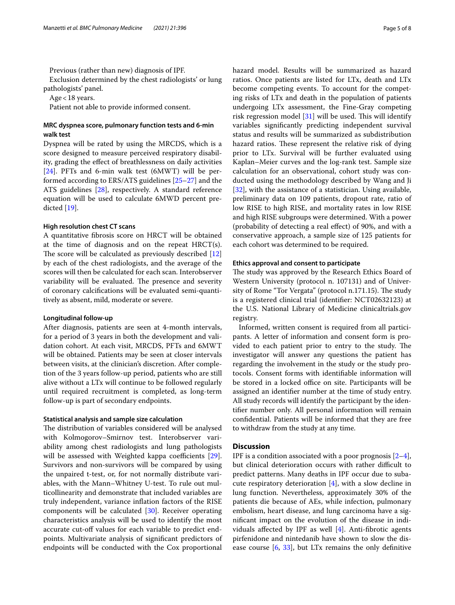Previous (rather than new) diagnosis of IPF.

Exclusion determined by the chest radiologists' or lung pathologists' panel.

Age<18 years.

Patient not able to provide informed consent.

## **MRC dyspnea score, pulmonary function tests and 6‑min walk test**

Dyspnea will be rated by using the MRCDS, which is a score designed to measure perceived respiratory disability, grading the efect of breathlessness on daily activities [[24\]](#page-7-5). PFTs and 6-min walk test (6MWT) will be performed according to ERS/ATS guidelines [\[25–](#page-7-6)[27\]](#page-7-7) and the ATS guidelines [[28](#page-7-8)], respectively. A standard reference equation will be used to calculate 6MWD percent predicted [[19](#page-7-1)].

## **High resolution chest CT scans**

A quantitative fbrosis score on HRCT will be obtained at the time of diagnosis and on the repeat HRCT(s). The score will be calculated as previously described  $[12]$  $[12]$  $[12]$ by each of the chest radiologists, and the average of the scores will then be calculated for each scan. Interobserver variability will be evaluated. The presence and severity of coronary calcifcations will be evaluated semi-quantitively as absent, mild, moderate or severe.

#### **Longitudinal follow‑up**

After diagnosis, patients are seen at 4-month intervals, for a period of 3 years in both the development and validation cohort. At each visit, MRCDS, PFTs and 6MWT will be obtained. Patients may be seen at closer intervals between visits, at the clinician's discretion. After completion of the 3 years follow-up period, patients who are still alive without a LTx will continue to be followed regularly until required recruitment is completed, as long-term follow-up is part of secondary endpoints.

#### **Statistical analysis and sample size calculation**

The distribution of variables considered will be analysed with Kolmogorov–Smirnov test. Interobserver variability among chest radiologists and lung pathologists will be assessed with Weighted kappa coefficients [\[29](#page-7-9)]. Survivors and non-survivors will be compared by using the unpaired t-test, or, for not normally distribute variables, with the Mann–Whitney U-test. To rule out multicollinearity and demonstrate that included variables are truly independent, variance infation factors of the RISE components will be calculated [[30\]](#page-7-10). Receiver operating characteristics analysis will be used to identify the most accurate cut-off values for each variable to predict endpoints. Multivariate analysis of signifcant predictors of endpoints will be conducted with the Cox proportional hazard model. Results will be summarized as hazard ratios. Once patients are listed for LTx, death and LTx become competing events. To account for the competing risks of LTx and death in the population of patients undergoing LTx assessment, the Fine-Gray competing risk regression model  $[31]$  $[31]$  will be used. This will identify variables signifcantly predicting independent survival status and results will be summarized as subdistribution hazard ratios. These represent the relative risk of dying prior to LTx. Survival will be further evaluated using Kaplan–Meier curves and the log-rank test. Sample size calculation for an observational, cohort study was conducted using the methodology described by Wang and Ji [[32\]](#page-7-12), with the assistance of a statistician. Using available, preliminary data on 109 patients, dropout rate, ratio of low RISE to high RISE, and mortality rates in low RISE and high RISE subgroups were determined. With a power (probability of detecting a real efect) of 90%, and with a conservative approach, a sample size of 125 patients for each cohort was determined to be required.

### **Ethics approval and consent to participate**

The study was approved by the Research Ethics Board of Western University (protocol n. 107131) and of University of Rome "Tor Vergata" (protocol n.171.15). The study is a registered clinical trial (identifer: NCT02632123) at the U.S. National Library of Medicine clinicaltrials.gov registry.

Informed, written consent is required from all participants. A letter of information and consent form is provided to each patient prior to entry to the study. The investigator will answer any questions the patient has regarding the involvement in the study or the study protocols. Consent forms with identifable information will be stored in a locked office on site. Participants will be assigned an identifer number at the time of study entry. All study records will identify the participant by the identifer number only. All personal information will remain confdential. Patients will be informed that they are free to withdraw from the study at any time.

## **Discussion**

IPF is a condition associated with a poor prognosis  $[2-4]$  $[2-4]$ , but clinical deterioration occurs with rather difficult to predict patterns. Many deaths in IPF occur due to subacute respiratory deterioration [[4\]](#page-6-2), with a slow decline in lung function. Nevertheless, approximately 30% of the patients die because of AEs, while infection, pulmonary embolism, heart disease, and lung carcinoma have a signifcant impact on the evolution of the disease in individuals affected by IPF as well  $[4]$  $[4]$ . Anti-fibrotic agents pirfenidone and nintedanib have shown to slow the disease course  $[6, 33]$  $[6, 33]$  $[6, 33]$  $[6, 33]$  $[6, 33]$ , but LTx remains the only definitive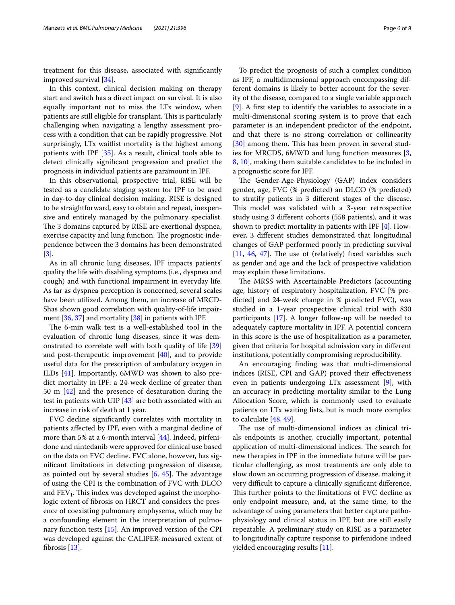treatment for this disease, associated with signifcantly improved survival [[34\]](#page-7-14).

In this context, clinical decision making on therapy start and switch has a direct impact on survival. It is also equally important not to miss the LTx window, when patients are still eligible for transplant. This is particularly challenging when navigating a lengthy assessment process with a condition that can be rapidly progressive. Not surprisingly, LTx waitlist mortality is the highest among patients with IPF [\[35](#page-7-15)]. As a result, clinical tools able to detect clinically signifcant progression and predict the prognosis in individual patients are paramount in IPF.

In this observational, prospective trial, RISE will be tested as a candidate staging system for IPF to be used in day-to-day clinical decision making. RISE is designed to be straightforward, easy to obtain and repeat, inexpensive and entirely managed by the pulmonary specialist. The 3 domains captured by RISE are exertional dyspnea, exercise capacity and lung function. The prognostic independence between the 3 domains has been demonstrated [[3\]](#page-6-8).

As in all chronic lung diseases, IPF impacts patients' quality the life with disabling symptoms (i.e., dyspnea and cough) and with functional impairment in everyday life. As far as dyspnea perception is concerned, several scales have been utilized. Among them, an increase of MRCD-Shas shown good correlation with quality-of-life impairment [\[36](#page-7-16), [37\]](#page-7-17) and mortality [\[38\]](#page-7-18) in patients with IPF.

The 6-min walk test is a well-established tool in the evaluation of chronic lung diseases, since it was demonstrated to correlate well with both quality of life [[39](#page-7-19)] and post-therapeutic improvement [\[40](#page-7-20)], and to provide useful data for the prescription of ambulatory oxygen in ILDs [[41](#page-7-21)]. Importantly, 6MWD was shown to also predict mortality in IPF: a 24-week decline of greater than 50 m [[42\]](#page-7-22) and the presence of desaturation during the test in patients with UIP [[43\]](#page-7-23) are both associated with an increase in risk of death at 1 year.

FVC decline signifcantly correlates with mortality in patients afected by IPF, even with a marginal decline of more than 5% at a 6-month interval [[44\]](#page-7-24). Indeed, pirfenidone and nintedanib were approved for clinical use based on the data on FVC decline. FVC alone, however, has signifcant limitations in detecting progression of disease, as pointed out by several studies  $[6, 45]$  $[6, 45]$  $[6, 45]$ . The advantage of using the CPI is the combination of FVC with DLCO and  $FEV<sub>1</sub>$ . This index was developed against the morphologic extent of fbrosis on HRCT and considers the presence of coexisting pulmonary emphysema, which may be a confounding element in the interpretation of pulmonary function tests [\[15](#page-6-14)]. An improved version of the CPI was developed against the CALIPER-measured extent of fbrosis [[13\]](#page-6-12).

To predict the prognosis of such a complex condition as IPF, a multidimensional approach encompassing different domains is likely to better account for the severity of the disease, compared to a single variable approach [[9\]](#page-6-9). A frst step to identify the variables to associate in a multi-dimensional scoring system is to prove that each parameter is an independent predictor of the endpoint, and that there is no strong correlation or collinearity [[30\]](#page-7-10) among them. This has been proven in several studies for MRCDS, 6MWD and lung function measures [\[3](#page-6-8), [8,](#page-6-7) [10](#page-6-6)], making them suitable candidates to be included in a prognostic score for IPF.

The Gender-Age-Physiology (GAP) index considers gender, age, FVC (% predicted) an DLCO (% predicted) to stratify patients in 3 diferent stages of the disease. This model was validated with a 3-year retrospective study using 3 diferent cohorts (558 patients), and it was shown to predict mortality in patients with IPF [[4](#page-6-2)]. However, 3 diferent studies demonstrated that longitudinal changes of GAP performed poorly in predicting survival  $[11, 46, 47]$  $[11, 46, 47]$  $[11, 46, 47]$  $[11, 46, 47]$  $[11, 46, 47]$  $[11, 46, 47]$ . The use of (relatively) fixed variables such as gender and age and the lack of prospective validation may explain these limitations.

The MRSS with Ascertainable Predictors (accounting age, history of respiratory hospitalization, FVC [% predicted] and 24-week change in % predicted FVC), was studied in a 1-year prospective clinical trial with 830 participants [[17\]](#page-6-16). A longer follow-up will be needed to adequately capture mortality in IPF. A potential concern in this score is the use of hospitalization as a parameter, given that criteria for hospital admission vary in diferent institutions, potentially compromising reproducibility.

An encouraging fnding was that multi-dimensional indices (RISE, CPI and GAP) proved their effectiveness even in patients undergoing LTx assessment [\[9](#page-6-9)], with an accuracy in predicting mortality similar to the Lung Allocation Score, which is commonly used to evaluate patients on LTx waiting lists, but is much more complex to calculate [[48,](#page-7-28) [49](#page-7-29)].

The use of multi-dimensional indices as clinical trials endpoints is another, crucially important, potential application of multi-dimensional indices. The search for new therapies in IPF in the immediate future will be particular challenging, as most treatments are only able to slow down an occurring progression of disease, making it very difficult to capture a clinically significant difference. This further points to the limitations of FVC decline as only endpoint measure, and, at the same time, to the advantage of using parameters that better capture pathophysiology and clinical status in IPF, but are still easily repeatable. A preliminary study on RISE as a parameter to longitudinally capture response to pirfenidone indeed yielded encouraging results [[11\]](#page-6-10).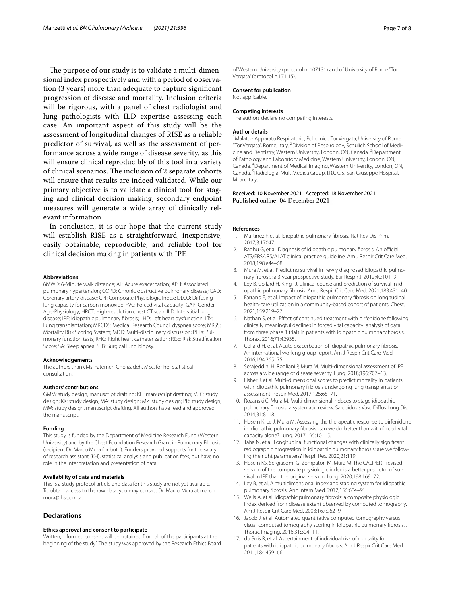The purpose of our study is to validate a multi-dimensional index prospectively and with a period of observation (3 years) more than adequate to capture signifcant progression of disease and mortality. Inclusion criteria will be rigorous, with a panel of chest radiologist and lung pathologists with ILD expertise assessing each case. An important aspect of this study will be the assessment of longitudinal changes of RISE as a reliable predictor of survival, as well as the assessment of performance across a wide range of disease severity, as this will ensure clinical reproducibly of this tool in a variety of clinical scenarios. The inclusion of 2 separate cohorts will ensure that results are indeed validated. While our primary objective is to validate a clinical tool for staging and clinical decision making, secondary endpoint measures will generate a wide array of clinically relevant information.

In conclusion, it is our hope that the current study will establish RISE as a straightforward, inexpensive, easily obtainable, reproducible, and reliable tool for clinical decision making in patients with IPF.

#### **Abbreviations**

6MWD: 6-Minute walk distance; AE: Acute exacerbation; APH: Associated pulmonary hypertension; COPD: Chronic obstructive pulmonary disease; CAD: Coronary artery disease; CPI: Composite Physiologic Index; DLCO: Difusing lung capacity for carbon monoxide; FVC: Forced vital capacity; GAP: Gender-Age-Physiology; HRCT: High-resolution chest CT scan; ILD: Interstitial lung disease; IPF: Idiopathic pulmonary fbrosis; LHD: Left heart dysfunction; LTx: Lung transplantation; MRCDS: Medical Research Council dyspnea score; MRSS: Mortality Risk Scoring System; MDD: Multi-disciplinary discussion; PFTs: Pulmonary function tests; RHC: Right heart catheterization; RISE: Risk Stratifcation Score; SA: Sleep apnea; SLB: Surgical lung biopsy.

#### **Acknowledgements**

The authors thank Ms. Fatemeh Gholizadeh, MSc, for her statistical consultation.

#### **Authors' contributions**

GMM: study design, manuscript drafting; KH: manuscript drafting; MJC: study design; KK: study design; MA: study design; MZ: study design; PR: study design; MM: study design, manuscript drafting. All authors have read and approved the manuscript.

#### **Funding**

This study is funded by the Department of Medicine Research Fund (Western University) and by the Chest Foundation Research Grant in Pulmonary Fibrosis (recipient Dr. Marco Mura for both). Funders provided supports for the salary of research assistant (KH), statistical analysis and publication fees, but have no role in the interpretation and presentation of data.

#### **Availability of data and materials**

This is a study protocol article and data for this study are not yet available. To obtain access to the raw data, you may contact Dr. Marco Mura at marco. mura@lhsc.on.ca.

#### **Declarations**

#### **Ethics approval and consent to participate**

Written, informed consent will be obtained from all of the participants at the beginning of the study". The study was approved by the Research Ethics Board of Western University (protocol n. 107131) and of University of Rome "Tor Vergata" (protocol n.171.15).

## **Consent for publication**

Not applicable.

#### **Competing interests**

The authors declare no competing interests.

#### **Author details**

<sup>1</sup> Malattie Apparato Respiratorio, Policlinico Tor Vergata, University of Rome "Tor Vergata", Rome, Italy. <sup>2</sup> Division of Respirology, Schulich School of Medicine and Dentistry, Western University, London, ON, Canada. <sup>3</sup> Department of Pathology and Laboratory Medicine, Western University, London, ON, Canada. 4 Department of Medical Imaging, Western University, London, ON, Canada. <sup>5</sup> Radiologia, MultiMedica Group, I.R.C.C.S. San Giuseppe Hospital, Milan, Italy.

# Received: 10 November 2021 Accepted: 18 November 2021

## **References**

- <span id="page-6-0"></span>1. Martinez F, et al. Idiopathic pulmonary fbrosis. Nat Rev Dis Prim. 2017;3:17047.
- <span id="page-6-1"></span>2. Raghu G, et al. Diagnosis of idiopathic pulmonary fibrosis. An official ATS/ERS/JRS/ALAT clinical practice guideline. Am J Respir Crit Care Med. 2018;198:e44–68.
- <span id="page-6-8"></span>3. Mura M, et al. Predicting survival in newly diagnosed idiopathic pulmonary fbrosis: a 3-year prospective study. Eur Respir J. 2012;40:101–9.
- <span id="page-6-2"></span>4. Ley B, Collard H, King TJ. Clinical course and prediction of survival in idiopathic pulmonary fbrosis. Am J Respir Crit Care Med. 2021;183:431–40.
- <span id="page-6-3"></span>5. Farrand E, et al. Impact of idiopathic pulmonary fbrosis on longitudinal health-care utilization in a community-based cohort of patients. Chest. 2021;159:219–27.
- <span id="page-6-4"></span>6. Nathan S, et al. Efect of continued treatment with pirfenidone following clinically meaningful declines in forced vital capacity: analysis of data from three phase 3 trials in patients with idiopathic pulmonary fibrosis. Thorax. 2016;71:42935.
- <span id="page-6-5"></span>7. Collard H, et al. Acute exacerbation of idiopathic pulmonary fbrosis. An international working group report. Am J Respir Crit Care Med. 2016;194:265–75.
- <span id="page-6-7"></span>8. Serajeddini H, Rogliani P, Mura M. Multi-dimensional assessment of IPF across a wide range of disease severity. Lung. 2018;196:707–13.
- <span id="page-6-9"></span>9. Fisher J, et al. Multi-dimensional scores to predict mortality in patients with idiopathic pulmonary fi brosis undergoing lung transplantation assessment. Respir Med. 2017;125:65–71.
- <span id="page-6-6"></span>10. Rozanski C, Mura M. Multi-dimensional indeces to stage idiopathic pulmonary fibrosis: a systematic review. Sarcoidosis Vasc Diffus Lung Dis. 2014;31:8–18.
- <span id="page-6-10"></span>11. Hosein K, Le J, Mura M. Assessing the therapeutic response to pirfenidone in idiopathic pulmonary fbrosis: can we do better than with forced vital capacity alone? Lung. 2017;195:101–5.
- <span id="page-6-11"></span>12. Taha N, et al. Longitudinal functional changes with clinically signifcant radiographic progression in idiopathic pulmonary fbrosis: are we following the right parameters? Respir Res. 2020;21:119.
- <span id="page-6-12"></span>13. Hosein KS, Sergiacomi G, Zompatori M, Mura M. The CALIPER - revised version of the composite physiologic index is a better predictor of survival in IPF than the original version. Lung. 2020;198:169–72.
- <span id="page-6-13"></span>14. Ley B, et al. A multidimensional index and staging system for idiopathic pulmonary fIbrosis. Ann Intern Med. 2012;156:684–91.
- <span id="page-6-14"></span>15. Wells A, et al. Idiopathic pulmonary fbrosis: a composite physiologic index derived from disease extent observed by computed tomography. Am J Respir Crit Care Med. 2003;167:962–9.
- <span id="page-6-15"></span>16. Jacob J, et al. Automated quantitative computed tomography versus visual computed tomography scoring in idiopathic pulmonary fbrosis. J Thorac Imaging. 2016;31:304–11.
- <span id="page-6-16"></span>17. du Bois R, et al. Ascertainment of individual risk of mortality for patients with idiopathic pulmonary fbrosis. Am J Respir Crit Care Med. 2011;184:459–66.